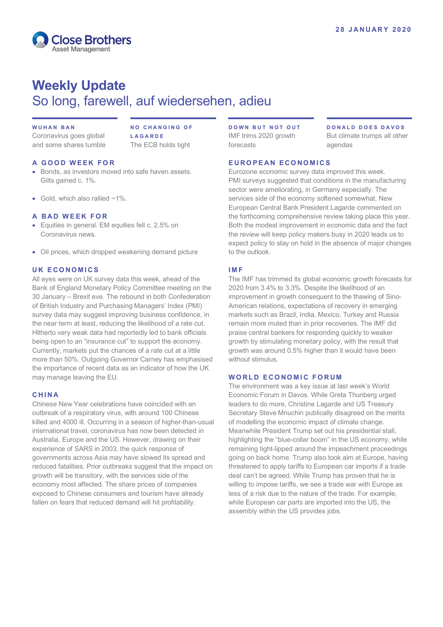

# **Weekly Update** So long, farewell, auf wiedersehen, adieu

#### **WUHAN BAN**

Coronavirus goes global and some shares tumble **NO CHANGING OF LAGARDE** The ECB holds tight

### **A GOOD WEEK FOR**

- Bonds, as investors moved into safe haven assets. Gilts gained c. 1%.
- Gold, which also rallied  $~1\%$ .

#### **A BAD WEEK FOR**

- Equities in general. EM equities fell c. 2.5% on Coronavirus news.
- Oil prices, which dropped weakening demand picture

## **UK ECONOMICS**

All eyes were on UK survey data this week, ahead of the Bank of England Monetary Policy Committee meeting on the 30 January – Brexit eve. The rebound in both Confederation of British Industry and Purchasing Managers' Index (PMI) survey data may suggest improving business confidence, in the near term at least, reducing the likelihood of a rate cut. Hitherto very weak data had reportedly led to bank officials being open to an "insurance cut" to support the economy. Currently, markets put the chances of a rate cut at a little more than 50%. Outgoing Governor Carney has emphasised the importance of recent data as an indicator of how the UK may manage leaving the EU.

# **CHINA**

Chinese New Year celebrations have coincided with an outbreak of a respiratory virus, with around 100 Chinese killed and 4000 ill. Occurring in a season of higher-than-usual international travel, coronavirus has now been detected in Australia, Europe and the US. However, drawing on their experience of SARS in 2003, the quick response of governments across Asia may have slowed its spread and reduced fatalities. Prior outbreaks suggest that the impact on growth will be transitory, with the services side of the economy most affected. The share prices of companies exposed to Chinese consumers and tourism have already fallen on fears that reduced demand will hit profitability.

**DOWN BUT NOT OUT** IMF trims 2020 growth forecasts

**DONALD DOES DAVOS** But climate trumps all other agendas

#### **EUROPEAN ECONOMICS**

Eurozone economic survey data improved this week. PMI surveys suggested that conditions in the manufacturing sector were ameliorating, in Germany especially. The services side of the economy softened somewhat. New European Central Bank President Lagarde commented on the forthcoming comprehensive review taking place this year. Both the modest improvement in economic data and the fact the review will keep policy makers busy in 2020 leads us to expect policy to stay on hold in the absence of major changes to the outlook.

#### **IMF**

The IMF has trimmed its global economic growth forecasts for 2020 from 3.4% to 3.3%. Despite the likelihood of an improvement in growth consequent to the thawing of Sino-American relations, expectations of recovery in emerging markets such as Brazil, India, Mexico, Turkey and Russia remain more muted than in prior recoveries. The IMF did praise central bankers for responding quickly to weaker growth by stimulating monetary policy, with the result that growth was around 0.5% higher than it would have been without stimulus.

### **WORLD ECONOMIC FORUM**

The environment was a key issue at last week's World Economic Forum in Davos. While Greta Thunberg urged leaders to do more, Christine Lagarde and US Treasury Secretary Steve Mnuchin publically disagreed on the merits of modelling the economic impact of climate change. Meanwhile President Trump set out his presidential stall, highlighting the "blue-collar boom" in the US economy, while remaining tight-lipped around the impeachment proceedings going on back home. Trump also took aim at Europe, having threatened to apply tariffs to European car imports if a trade deal can't be agreed. While Trump has proven that he is willing to impose tariffs, we see a trade war with Europe as less of a risk due to the nature of the trade. For example, while European car parts are imported into the US, the assembly within the US provides jobs.